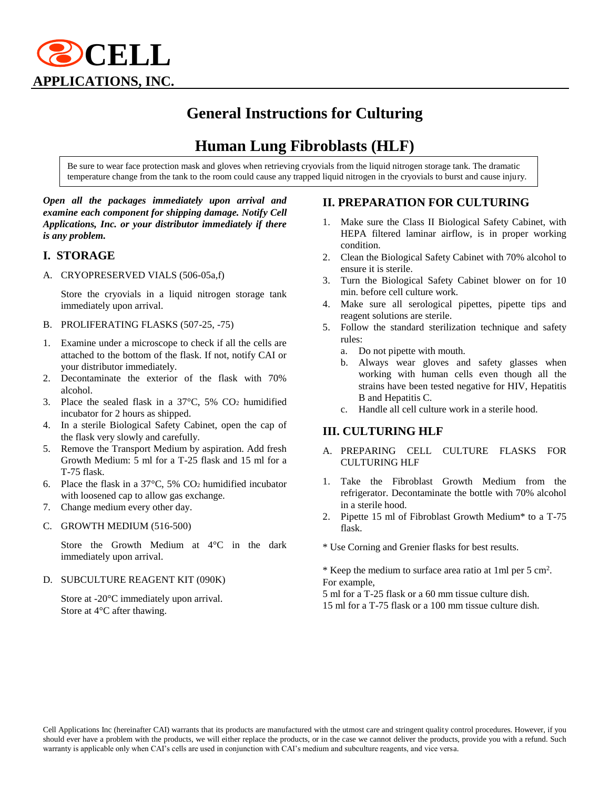

# **General Instructions for Culturing**

# **Human Lung Fibroblasts (HLF)**

Be sure to wear face protection mask and gloves when retrieving cryovials from the liquid nitrogen storage tank. The dramatic temperature change from the tank to the room could cause any trapped liquid nitrogen in the cryovials to burst and cause injury.

#### *Open all the packages immediately upon arrival and examine each component for shipping damage. Notify Cell Applications, Inc. or your distributor immediately if there is any problem.*

#### **I. STORAGE**

A. CRYOPRESERVED VIALS (506-05a,f)

Store the cryovials in a liquid nitrogen storage tank immediately upon arrival.

- B. PROLIFERATING FLASKS (507-25, -75)
- 1. Examine under a microscope to check if all the cells are attached to the bottom of the flask. If not, notify CAI or your distributor immediately.
- 2. Decontaminate the exterior of the flask with 70% alcohol.
- 3. Place the sealed flask in a  $37^{\circ}$ C,  $5\%$  CO<sub>2</sub> humidified incubator for 2 hours as shipped.
- 4. In a sterile Biological Safety Cabinet, open the cap of the flask very slowly and carefully.
- 5. Remove the Transport Medium by aspiration. Add fresh Growth Medium: 5 ml for a T-25 flask and 15 ml for a T-75 flask.
- 6. Place the flask in a 37°C, 5% CO<sup>2</sup> humidified incubator with loosened cap to allow gas exchange.
- 7. Change medium every other day.
- C. GROWTH MEDIUM (516-500)

Store the Growth Medium at 4°C in the dark immediately upon arrival.

D. SUBCULTURE REAGENT KIT (090K)

Store at -20°C immediately upon arrival. Store at 4°C after thawing.

#### **II. PREPARATION FOR CULTURING**

- 1. Make sure the Class II Biological Safety Cabinet, with HEPA filtered laminar airflow, is in proper working condition.
- 2. Clean the Biological Safety Cabinet with 70% alcohol to ensure it is sterile.
- 3. Turn the Biological Safety Cabinet blower on for 10 min. before cell culture work.
- 4. Make sure all serological pipettes, pipette tips and reagent solutions are sterile.
- 5. Follow the standard sterilization technique and safety rules:
	- a. Do not pipette with mouth.
	- b. Always wear gloves and safety glasses when working with human cells even though all the strains have been tested negative for HIV, Hepatitis B and Hepatitis C.
	- c. Handle all cell culture work in a sterile hood.

#### **III. CULTURING HLF**

- A. PREPARING CELL CULTURE FLASKS FOR CULTURING HLF
- 1. Take the Fibroblast Growth Medium from the refrigerator. Decontaminate the bottle with 70% alcohol in a sterile hood.
- 2. Pipette 15 ml of Fibroblast Growth Medium\* to a T-75 flask.

\* Use Corning and Grenier flasks for best results.

\* Keep the medium to surface area ratio at 1ml per 5 cm<sup>2</sup> . For example,

5 ml for a T-25 flask or a 60 mm tissue culture dish.

15 ml for a T-75 flask or a 100 mm tissue culture dish.

Cell Applications Inc (hereinafter CAI) warrants that its products are manufactured with the utmost care and stringent quality control procedures. However, if you should ever have a problem with the products, we will either replace the products, or in the case we cannot deliver the products, provide you with a refund. Such warranty is applicable only when CAI's cells are used in conjunction with CAI's medium and subculture reagents, and vice versa.